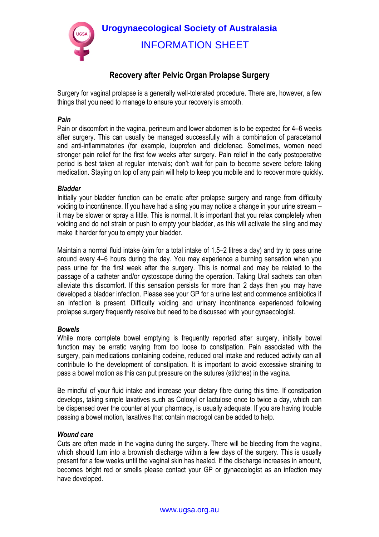

# **Recovery after Pelvic Organ Prolapse Surgery**

Surgery for vaginal prolapse is a generally well-tolerated procedure. There are, however, a few things that you need to manage to ensure your recovery is smooth.

### *Pain*

Pain or discomfort in the vagina, perineum and lower abdomen is to be expected for 4–6 weeks after surgery. This can usually be managed successfully with a combination of paracetamol and anti-inflammatories (for example, ibuprofen and diclofenac. Sometimes, women need stronger pain relief for the first few weeks after surgery. Pain relief in the early postoperative period is best taken at regular intervals; don't wait for pain to become severe before taking medication. Staying on top of any pain will help to keep you mobile and to recover more quickly.

## *Bladder*

Initially your bladder function can be erratic after prolapse surgery and range from difficulty voiding to incontinence. If you have had a sling you may notice a change in your urine stream – it may be slower or spray a little. This is normal. It is important that you relax completely when voiding and do not strain or push to empty your bladder, as this will activate the sling and may make it harder for you to empty your bladder.

Maintain a normal fluid intake (aim for a total intake of 1.5–2 litres a day) and try to pass urine around every 4–6 hours during the day. You may experience a burning sensation when you pass urine for the first week after the surgery. This is normal and may be related to the passage of a catheter and/or cystoscope during the operation. Taking Ural sachets can often alleviate this discomfort. If this sensation persists for more than 2 days then you may have developed a bladder infection. Please see your GP for a urine test and commence antibiotics if an infection is present. Difficulty voiding and urinary incontinence experienced following prolapse surgery frequently resolve but need to be discussed with your gynaecologist.

## *Bowels*

While more complete bowel emptying is frequently reported after surgery, initially bowel function may be erratic varying from too loose to constipation. Pain associated with the surgery, pain medications containing codeine, reduced oral intake and reduced activity can all contribute to the development of constipation. It is important to avoid excessive straining to pass a bowel motion as this can put pressure on the sutures (stitches) in the vagina.

Be mindful of your fluid intake and increase your dietary fibre during this time. If constipation develops, taking simple laxatives such as Coloxyl or lactulose once to twice a day, which can be dispensed over the counter at your pharmacy, is usually adequate. If you are having trouble passing a bowel motion, laxatives that contain macrogol can be added to help.

#### *Wound care*

Cuts are often made in the vagina during the surgery. There will be bleeding from the vagina, which should turn into a brownish discharge within a few days of the surgery. This is usually present for a few weeks until the vaginal skin has healed. If the discharge increases in amount, becomes bright red or smells please contact your GP or gynaecologist as an infection may have developed.